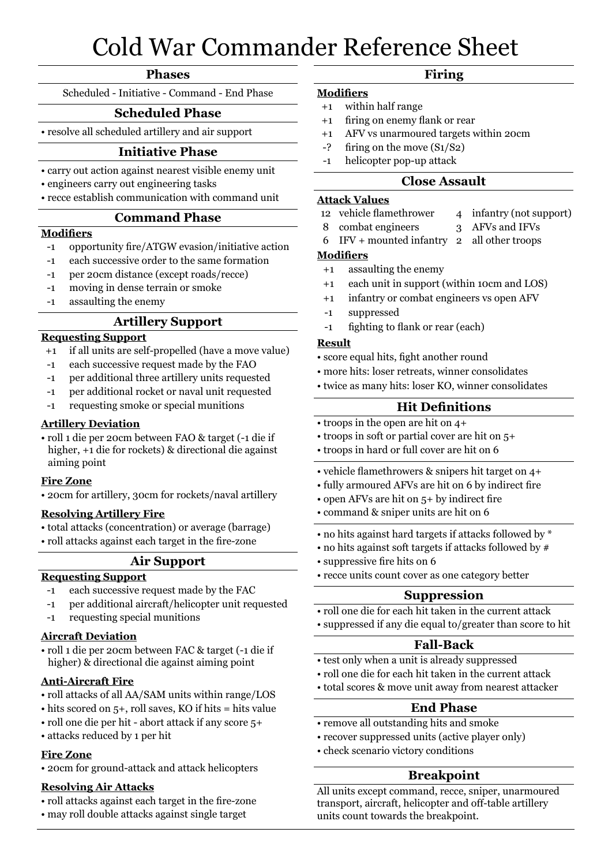# Cold War Commander Reference Sheet

### **Phases**

Scheduled - Initiative - Command - End Phase

## Scheduled Phase **Scheduled Phase**

• resolve all scheduled artillery and air support

## **Initiative Phase**

- carry out action against nearest visible enemy unit <sup>1</sup>
- engineers carry out engineering tasks
- recce establish communication with command unit

#### **Command Phase**

#### **Modifiers**

- -1 opportunity fire/ATGW evasion/initiative action
- -1 each successive order to the same formation
- -1 per 20cm distance (except roads/recce)
- -1 moving in dense terrain or smoke
- -1 assaulting the enemy

## **Artillery Support**

## **Requesting Support**

- +1 if all units are self-propelled (have a move value)
- -1 each successive request made by the FAO
- -1 per additional three artillery units requested
- -1 per additional rocket or naval unit requested
- -1 requesting smoke or special munitions

#### **Artillery Deviation**

• roll 1 die per 20cm between FAO & target (-1 die if higher, +1 die for rockets) & directional die against aiming point

#### **Fire Zone**

• 20cm for artillery, 30cm for rockets/naval artillery

#### **Resolving Artillery Fire**

- total attacks (concentration) or average (barrage)
- roll attacks against each target in the fire-zone

### **Air Support**

#### **Requesting Support**

- -1 each successive request made by the FAC
- -1 per additional aircraft/helicopter unit requested
- -1 requesting special munitions

### **Aircraft Deviation**

• roll 1 die per 20cm between FAC & target (-1 die if higher) & directional die against aiming point

#### **Anti-Aircraft Fire**

- roll attacks of all AA/SAM units within range/LOS
- hits scored on 5+, roll saves, KO if hits = hits value
- roll one die per hit abort attack if any score 5+
- attacks reduced by 1 per hit

#### **Fire Zone**

• 20cm for ground-attack and attack helicopters

#### **Resolving Air Attacks**

- roll attacks against each target in the fire-zone
- may roll double attacks against single target

## **Firing**

- **Modifiers**
- +1 within half range
- +1 firing on enemy flank or rear
- +1 AFV vs unarmoured targets within 20cm
- -? firing on the move (S1/S2)
- -1 helicopter pop-up attack

#### **Close Assault**

#### **Attack Values**

- 12 vehicle flamethrower 4 infantry (not support)
- 8 combat engineers 3 AFVs and IFVs
- 6 IFV + mounted infantry 2 all other troops

## **Modifiers**

- +1 assaulting the enemy
- +1 each unit in support (within 10cm and LOS)
- +1 infantry or combat engineers vs open AFV
- -1 suppressed
- -1 fighting to flank or rear (each)

#### **Result**

- score equal hits, fight another round
- more hits: loser retreats, winner consolidates
- twice as many hits: loser KO, winner consolidates

## **Hit Definitions**

- troops in the open are hit on 4+
- troops in soft or partial cover are hit on 5+
- troops in hard or full cover are hit on 6
- vehicle flamethrowers & snipers hit target on 4+
- fully armoured AFVs are hit on 6 by indirect fire
- open AFVs are hit on 5+ by indirect fire
- command & sniper units are hit on 6
- no hits against hard targets if attacks followed by \*
- no hits against soft targets if attacks followed by #
- suppressive fire hits on 6
- recce units count cover as one category better

#### **Suppression**

- roll one die for each hit taken in the current attack
- suppressed if any die equal to/greater than score to hit

### **Fall-Back**

- test only when a unit is already suppressed
- roll one die for each hit taken in the current attack
- total scores & move unit away from nearest attacker

### **End Phase**

- remove all outstanding hits and smoke
- recover suppressed units (active player only)
- check scenario victory conditions

## **Breakpoint**

All units except command, recce, sniper, unarmoured transport, aircraft, helicopter and off-table artillery units count towards the breakpoint.